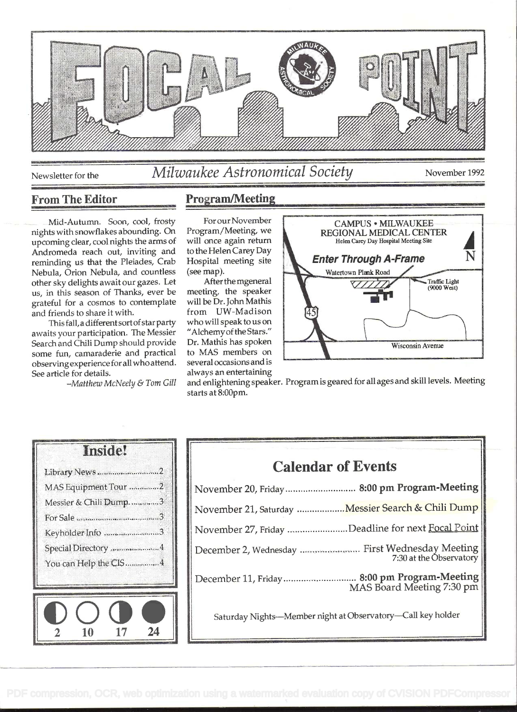

# Newsletter for the Milwaukee Astronomical Society November 1992

### From The Editor

Mid-Autumn. Soon, cool, frosty nights with snowflakes abounding. On upcoming clear, cool nights the arms of Andromeda reach out, inviting and reminding us that the Pleiades, Crab Nebula, Orion Nebula, and countless other sky delights await our gazes. Let us, in this season of Thanks, ever be grateful for a cosmos to contemplate and friends to share it with.

This fall, a different sort of star party awaits your participation. The Messier Search and Chili Dump should provide some fun, camaraderie and practical observingexperience for all who attend. See article for details.

Matthew McNeely & Tom Gill

## Program/Meeting

For our November Program/Meeting, we will once again return to the Helen Carey Day Hospital meeting site (see map).

After the mgeneral meeting, the speaker will be Dr. John Mathis from UW-Madison whowillspeaktouson "Alchemy of the Stars." Dr. Mathis has spoken to MAS members on several occasions and is always an entertaining



and enlightening speaker. Program is geared for all ages and skill levels. Meeting starts at 8:00pm.

| <b>Inside!</b>        |  |
|-----------------------|--|
| Library News 2        |  |
| MAS Equipment Tour 2  |  |
| Messier & Chili Dump3 |  |
|                       |  |
| Keyholder Info 3      |  |
| Special Directory 4   |  |
| You can Help the CIS4 |  |
|                       |  |
|                       |  |
|                       |  |
|                       |  |

| <b>Calendar of Events</b>                                                 |
|---------------------------------------------------------------------------|
| November 20, Friday 8:00 pm Program-Meeting                               |
| November 21, Saturday Messier Search & Chili Dump                         |
| November 27, Friday Deadline for next Focal Point                         |
| December 2, Wednesday  First Wednesday Meeting<br>7:30 at the Observatory |
| December 11, Friday  8:00 pm Program-Meeting<br>MAS Board Meeting 7:30 pm |
| Saturday Nights-Member night at Observatory-Call key holder               |
|                                                                           |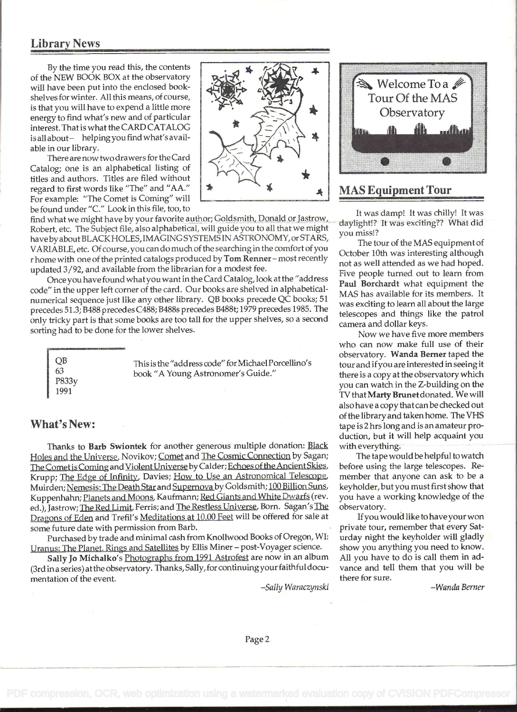#### Library News

By the time you read this, the contents of the NEW BOOK BOX at the observatory  $\frac{1}{2}$ will have been put into the enclosed bookshelves for winter. All this means, of course, is that you will have to expend a little more energy to find what's new and of particular interest. That is what the CARD CATALOG is all about- helping you find what's available in our library.

There are now two drawers for theCard Catalog; one is an alphabetical listing of titles and authors. Titles are filed without regard to first words like "The" and "AA." For example: "The Comet is Coming" will be found under "C." Look in this file, too, to

find what we might have by your favorite author; Goldsmith, Donald or Jastrow, Robert, etc. The Subject file, also alphabetical, will guide you to all that we might have by about BLACK HOLES, IMAGING SYSTEMS IN ASTRONOMY, or STARS, VARIABLE, etc. Of course, you can do much of the searching in the comfort of you r home with one of the printed catalogs produced by Tom Renner - most recently updated 3/92, and available from the librarian for a modest fee.

Once you have found what you want in the Card Catalog, look at the "address code" in the upper left corner of the card. Our books are shelved in alphabeticalnumerical sequence just like any other library. QB books precede QC books; 51 precedes 51.3; B488 precedes C488; B488s precedes B488t; 1979 precedes 1985. The only tricky part is that some books are too tall for the upper shelves, so a second sorting had to be done for the lower shelves.

QB This is the "address code" for Michael Porcellino's book "A Young Astronomer's Guide." P833y 1991

#### What's New:

Thanks to Barb Swiontek for another generous multiple donation: Black Holes and the Universe, Novikov; Comet and The Cosmic Connection by Sagan; The Comet is Coming and Violent Universe by Calder; Echoes of the Ancient Skies, Krupp; The Edge of Infinity, Davies; How to Use an Astronomical Telescope, Muirden; Nemesis: The Death Star and Supernova by Goldsmith; 100 Billion Suns. Kuppenhahn; Planets and Moons. Kaufmann; Red Giants and White Dwarfs (rev. ed.), Jastrow; The Red Limit, Ferris; and The Restless Universe, Born. Sagan's The Dragons of Eden arid Trefil's Meditations at 10.00 Feet will be offered for sale at some future date with permission from Barb.

Purchased by trade and minimal cash from Knollwood Books of Oregon, WI: Uranus: The Planet, Rings and Satellites by Ellis Miner - post-Voyager science.

Sally Jo Michalko's Photographs from 1991 Astrofest are now in an album (3rd in a series) at the observatory. Thanks, Sally, for continuing your faithful documentation of the event.

-Sally Waraczynski



## MAS Equipment Tour

It was damp! It was chilly! It was daylight!? It was exciting?? What did you miss!?

The tour of the MAS equipment of October 10th was interesting although not as well attended as we had hoped. Five people turned out to learn from Paul Borchardt what equipment the MAS has available for its members. It was exciting to learn all about the large telescopes and things like the patrol camera and dollar keys.

Now we have five more members who can now make full use of their observatory. Wanda Berner taped the tour and ifyou are interested in seeing it there is a copy at the observatory which you can watch in the Z-building on the TV that Marty Brunet donated. We will also have a copy that can be checked out of the library and taken home. The VHS tape is 2 hrs long and is an amateur production, but it will help acquaint you with everything.

The tape would be helpful to watch before using the large telescopes. Remember that anyone can ask to be a keyholder, but you must first show that you have a working knowledge of the observatory.

Ifyou would like to have your won private tour, remember that every Saturday night the keyholder will gladly show you anything you need to know. All you have to do is call them in advance and tell them that you will be there for sure.

-Wanda Berner

 $\cdots$  $\mathbf{v}$  $\lambda$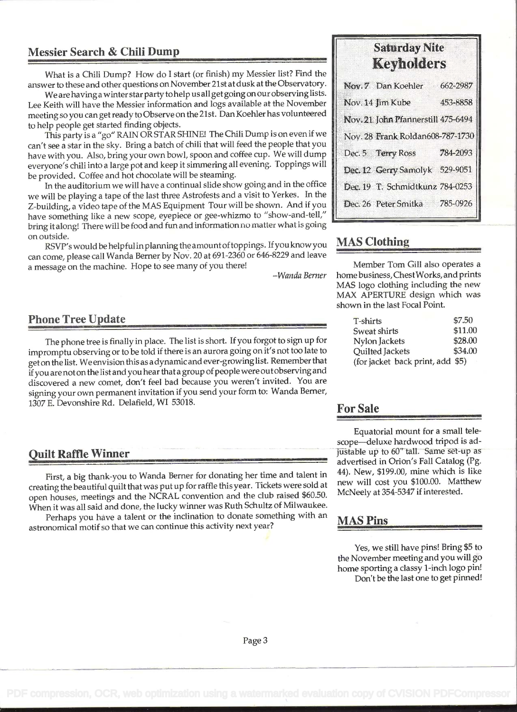## Messier Search & Chili Dump

What is a Chili Dump? How do I start (or finish) my Messier list? Find the answer to these and other questions on November 21st at dusk at the Observatory.

We are havinga winter star party to help us all getgoing on our observing lists. Lee Keith will have the Messier information and logs available at the November meeting so you can get ready to Observe on the 21st. Dan Koehier has volunteered to help people get started finding objects.

This partyis a "go" RAIN ORSTARSHINE! The Chili Dump is on even if we can't see a star in the sky. Bring a batch of chili that will feed the people that you have with you. Also, bring your own bowl, spoon and coffee cup. We will dump everyone's chili into a large pot and keep it simmering all evening. Toppings will be provided. Coffee and hot chocolate will be steaming.

In the auditorium we will have a continual slide show going and in the office we will be playing a tape of the last three Astrofests and a visit to Yerkes. In the Z-building, a video tape of the MAS Equipment Tour will be shown. And if you have something like a new scope, eyepiece or gee-whizmo to "show-and-tell," bring it along! There will be food and fun and information no matter what is going on outside.

RSVP's would be helpful in planning the amount of toppings. If you know you can come, please call Wanda Berner by Nov. 20 at 691-2360 or 646-8229 and leave a message on the machine. Hope to see many of you there!

-Wanda Berner

#### Phone Tree Update

The phone tree is finally in place. The list is short. If you forgot to sign up for impromptu observing or to be told if there is an aurora going on it's not too late to get on the list. We envision this as a dynamic and ever-growinglist. Remember that if you are not on the list and you hear that a group of people were out observing and discovered a new comet, don't feel bad because you weren't invited. You are signing your own permanent invitation if you send your form to: Wanda Berner, 1307 E. Devonshire Rd. Delafield, WI 53018.

#### Quilt Raffle Winner

First, a big thank-you to Wanda Berner for donating her time and talent in creating the beautiful quilt that was put up for raffle this year. Tickets were sold at open houses, meetings and the NCRAL convention and the club raised \$60.50. When it was all said and done, the lucky winner was Ruth Schultz of Milwaukee.

Perhaps you have a talent or the inclination to donate something with an astronomical motif so that we can continue this activity next year?

## Saturday Nite Keyholders

| Nov. 7 Dan Koehler                 | 662-2987 |
|------------------------------------|----------|
| Nov. 14 Jim Kube                   | 453-8858 |
| Nov. 21 John Pfannerstill 475-6494 |          |
| Nov. 28 Frank Roldan608-787-1730   |          |
| Dec. 5 Terry Ross 784-2093         |          |
| Dec. 12 Gerry Samolyk 529-9051     |          |
| Dec. 19 T. Schmidtkunz 784-0253    |          |
| Dec. 26 Peter Smitka               | 785-0926 |
|                                    |          |

## MAS Clothing

Member Tom Gill also operates a home business, ChestWorks, and prints MAS logo clothing including the new MAX APERTURE design which was shown in the last Focal Point.

| <b>T-shirts</b>                  | \$7.50  |
|----------------------------------|---------|
| Sweat shirts                     | \$11.00 |
| Nylon Jackets                    | \$28.00 |
| Quilted Jackets                  | \$34.00 |
| (for jacket back print, add \$5) |         |

#### For Sale

Equatorial mount for a small telescope-deluxe hardwood tripod is adjustable up to 60" tall. Same set-up as advertised in Orion's Fall Catalog (Pg. 44). New, \$199.00, mine which is like new will cost you \$100.00. Matthew McNeely at 354-5347 if interested.

#### MAS Pins

Yes, we still have pins! Bring \$5 to the November meeting and you will go home sporting a classy 1-inch logo pin! Don't be the last one to get pinned!